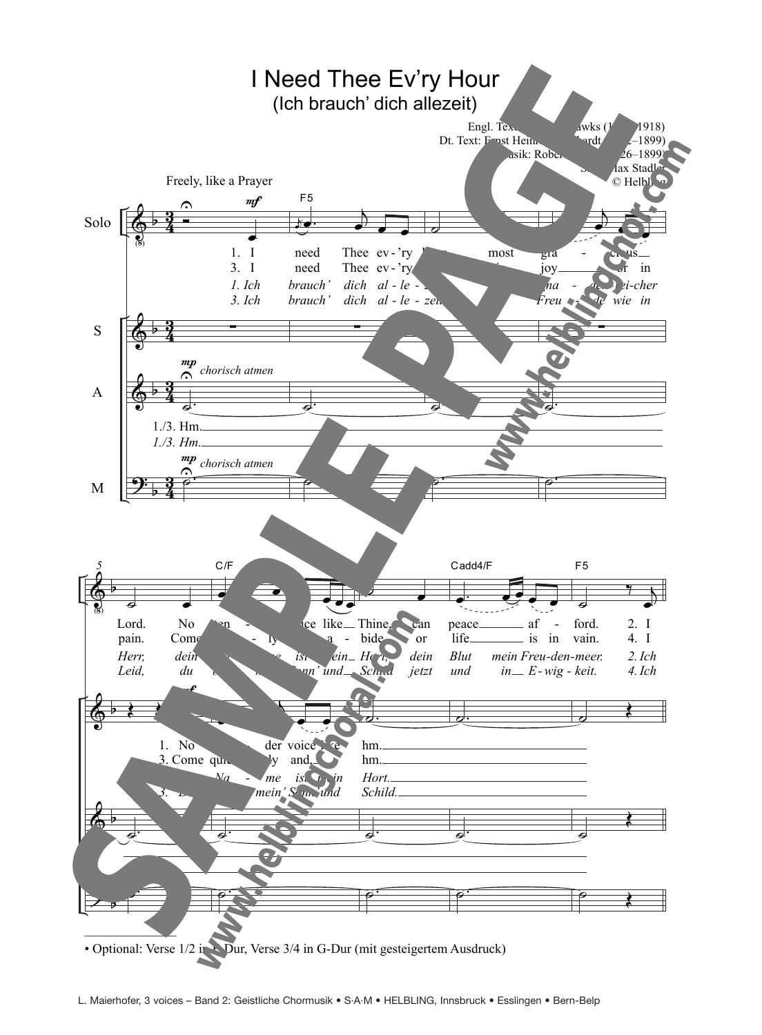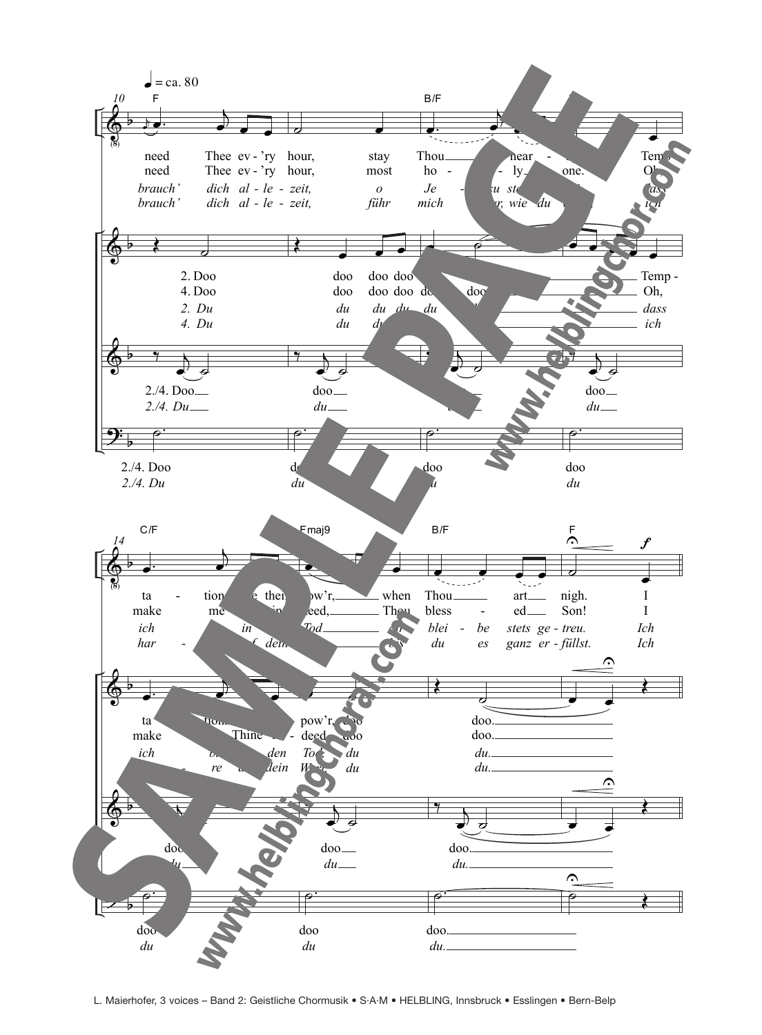